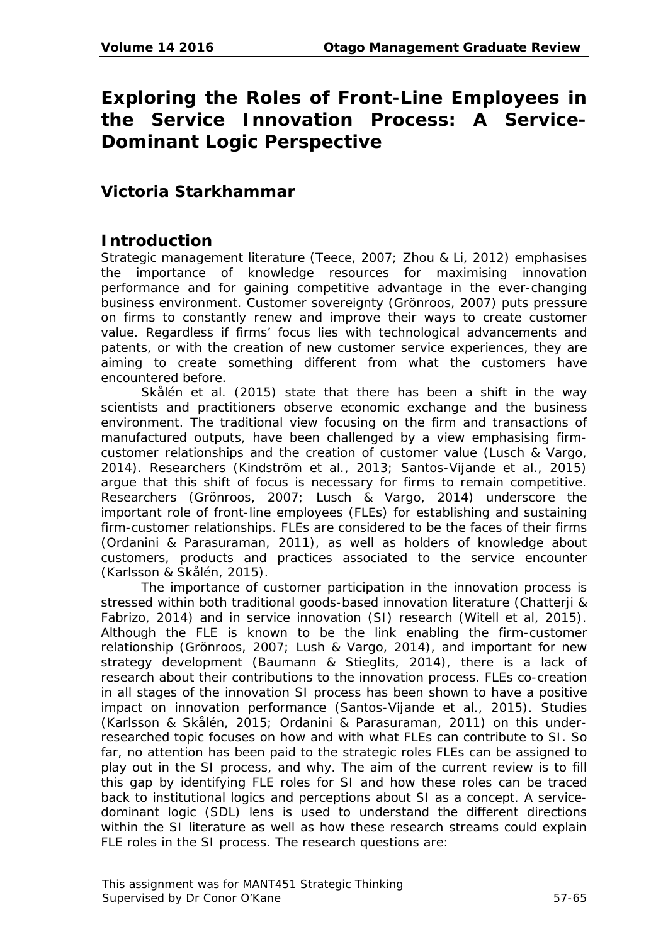# **Exploring the Roles of Front-Line Employees in the Service Innovation Process: A Service-Dominant Logic Perspective**

# **Victoria Starkhammar**

## **Introduction**

Strategic management literature (Teece, 2007; Zhou & Li, 2012) emphasises the importance of knowledge resources for maximising innovation performance and for gaining competitive advantage in the ever-changing business environment. Customer sovereignty (Grönroos, 2007) puts pressure on firms to constantly renew and improve their ways to create customer value. Regardless if firms' focus lies with technological advancements and patents, or with the creation of new customer service experiences, they are aiming to create something different from what the customers have encountered before.

Skålén et al. (2015) state that there has been a shift in the way scientists and practitioners observe economic exchange and the business environment. The traditional view focusing on the firm and transactions of manufactured outputs, have been challenged by a view emphasising firmcustomer relationships and the creation of customer value (Lusch & Vargo, 2014). Researchers (Kindström et al., 2013; Santos-Vijande et al., 2015) argue that this shift of focus is necessary for firms to remain competitive. Researchers (Grönroos, 2007; Lusch & Vargo, 2014) underscore the important role of front-line employees (FLEs) for establishing and sustaining firm-customer relationships. FLEs are considered to be the faces of their firms (Ordanini & Parasuraman, 2011), as well as holders of knowledge about customers, products and practices associated to the service encounter (Karlsson & Skålén, 2015).

The importance of customer participation in the innovation process is stressed within both traditional goods-based innovation literature (Chatterji & Fabrizo, 2014) and in service innovation (SI) research (Witell et al, 2015). Although the FLE is known to be the link enabling the firm-customer relationship (Grönroos, 2007; Lush & Vargo, 2014), and important for new strategy development (Baumann & Stieglits, 2014), there is a lack of research about their contributions to the innovation process. FLEs co-creation in all stages of the innovation SI process has been shown to have a positive impact on innovation performance (Santos-Vijande et al., 2015). Studies (Karlsson & Skålén, 2015; Ordanini & Parasuraman, 2011) on this underresearched topic focuses on how and with what FLEs can contribute to SI. So far, no attention has been paid to the strategic roles FLEs can be assigned to play out in the SI process, and why. The aim of the current review is to fill this gap by identifying FLE roles for SI and how these roles can be traced back to institutional logics and perceptions about SI as a concept. A servicedominant logic (SDL) lens is used to understand the different directions within the SI literature as well as how these research streams could explain FLE roles in the SI process. The research questions are: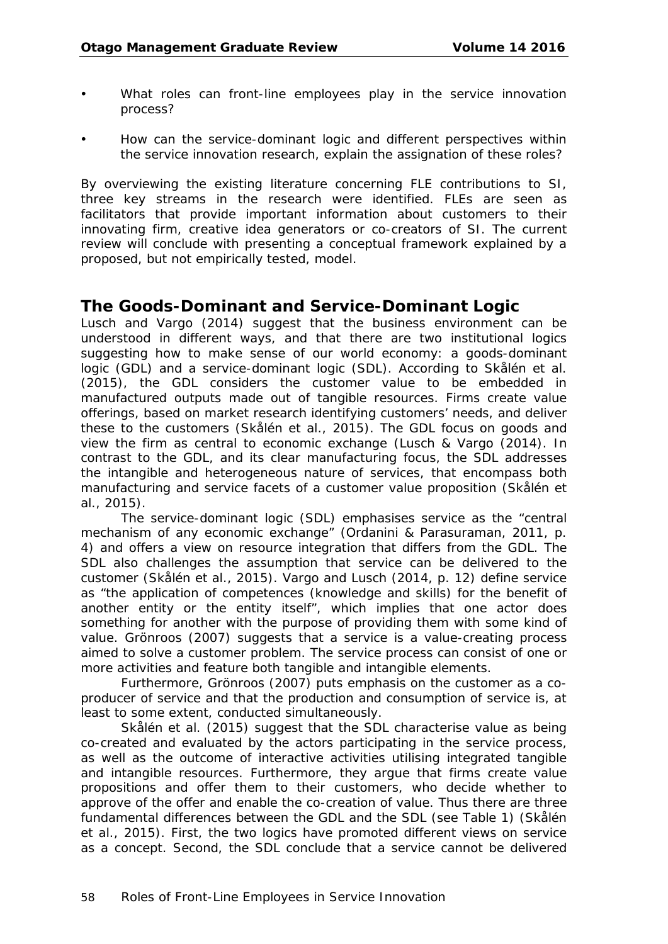- What roles can front-line employees play in the service innovation process?
- How can the service-dominant logic and different perspectives within the service innovation research, explain the assignation of these roles?

By overviewing the existing literature concerning FLE contributions to SI, three key streams in the research were identified. FLEs are seen as facilitators that provide important information about customers to their innovating firm, creative idea generators or co-creators of SI. The current review will conclude with presenting a conceptual framework explained by a proposed, but not empirically tested, model.

#### **The Goods-Dominant and Service-Dominant Logic**

Lusch and Vargo (2014) suggest that the business environment can be understood in different ways, and that there are two institutional logics suggesting how to make sense of our world economy: a goods-dominant logic (GDL) and a service-dominant logic (SDL). According to Skålén et al. (2015), the GDL considers the customer value to be embedded in manufactured outputs made out of tangible resources. Firms create value offerings, based on market research identifying customers' needs, and deliver these to the customers (Skålén et al., 2015). The GDL focus on goods and view the firm as central to economic exchange (Lusch & Vargo (2014). In contrast to the GDL, and its clear manufacturing focus, the SDL addresses the intangible and heterogeneous nature of services, that encompass both manufacturing and service facets of a customer value proposition (Skålén et al., 2015).

The service-dominant logic (SDL) emphasises service as the "central mechanism of any economic exchange" (Ordanini & Parasuraman, 2011, p. 4) and offers a view on resource integration that differs from the GDL. The SDL also challenges the assumption that service can be delivered to the customer (Skålén et al., 2015). Vargo and Lusch (2014, p. 12) define service as "the application of competences (knowledge and skills) for the benefit of another entity or the entity itself", which implies that one actor does something for another with the purpose of providing them with some kind of value. Grönroos (2007) suggests that a service is a value-creating process aimed to solve a customer problem. The service process can consist of one or more activities and feature both tangible and intangible elements.

Furthermore, Grönroos (2007) puts emphasis on the customer as a coproducer of service and that the production and consumption of service is, at least to some extent, conducted simultaneously.

Skålén et al. (2015) suggest that the SDL characterise value as being co-created and evaluated by the actors participating in the service process, as well as the outcome of interactive activities utilising integrated tangible and intangible resources. Furthermore, they argue that firms create value propositions and offer them to their customers, who decide whether to approve of the offer and enable the co-creation of value. Thus there are three fundamental differences between the GDL and the SDL (see Table 1) (Skålén et al., 2015). First, the two logics have promoted different views on service as a concept. Second, the SDL conclude that a service cannot be delivered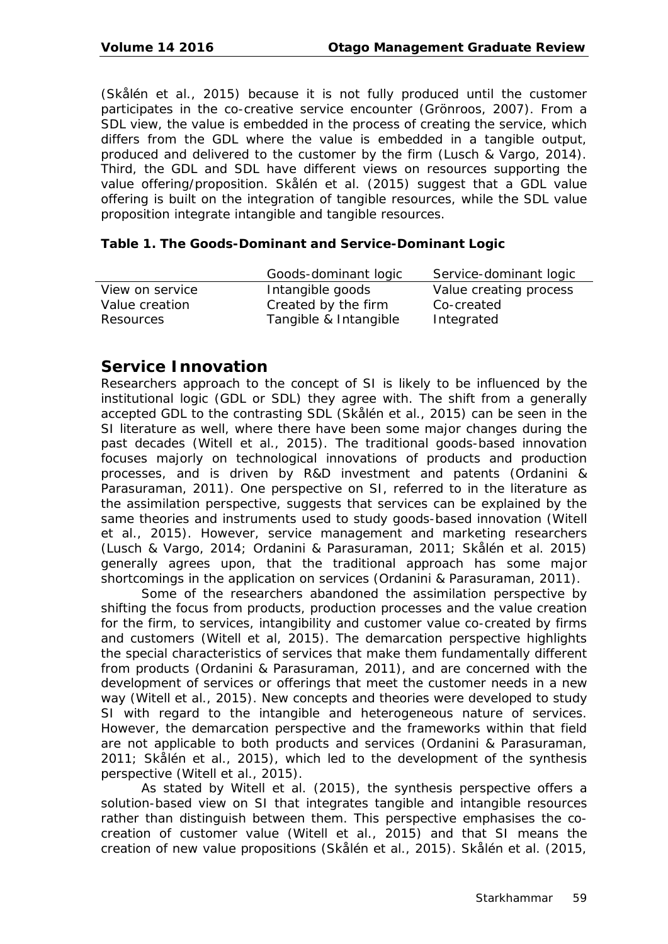(Skålén et al., 2015) because it is not fully produced until the customer participates in the co-creative service encounter (Grönroos, 2007). From a SDL view, the value is embedded in the process of creating the service, which differs from the GDL where the value is embedded in a tangible output, produced and delivered to the customer by the firm (Lusch & Vargo, 2014). Third, the GDL and SDL have different views on resources supporting the value offering/proposition. Skålén et al. (2015) suggest that a GDL value offering is built on the integration of tangible resources, while the SDL value proposition integrate intangible and tangible resources.

#### **Table 1. The Goods-Dominant and Service-Dominant Logic**

|                 | Goods-dominant logic  | Service-dominant logic |
|-----------------|-----------------------|------------------------|
| View on service | Intangible goods      | Value creating process |
| Value creation  | Created by the firm   | Co-created             |
| Resources       | Tangible & Intangible | Integrated             |

#### **Service Innovation**

Researchers approach to the concept of SI is likely to be influenced by the institutional logic (GDL or SDL) they agree with. The shift from a generally accepted GDL to the contrasting SDL (Skålén et al., 2015) can be seen in the SI literature as well, where there have been some major changes during the past decades (Witell et al., 2015). The traditional goods-based innovation focuses majorly on technological innovations of products and production processes, and is driven by R&D investment and patents (Ordanini & Parasuraman, 2011). One perspective on SI, referred to in the literature as the assimilation perspective, suggests that services can be explained by the same theories and instruments used to study goods-based innovation (Witell et al., 2015). However, service management and marketing researchers (Lusch & Vargo, 2014; Ordanini & Parasuraman, 2011; Skålén et al. 2015) generally agrees upon, that the traditional approach has some major shortcomings in the application on services (Ordanini & Parasuraman, 2011).

Some of the researchers abandoned the assimilation perspective by shifting the focus from products, production processes and the value creation for the firm, to services, intangibility and customer value co-created by firms and customers (Witell et al, 2015). The demarcation perspective highlights the special characteristics of services that make them fundamentally different from products (Ordanini & Parasuraman, 2011), and are concerned with the development of services or offerings that meet the customer needs in a new way (Witell et al., 2015). New concepts and theories were developed to study SI with regard to the intangible and heterogeneous nature of services. However, the demarcation perspective and the frameworks within that field are not applicable to both products and services (Ordanini & Parasuraman, 2011; Skålén et al., 2015), which led to the development of the synthesis perspective (Witell et al., 2015).

As stated by Witell et al. (2015), the synthesis perspective offers a solution-based view on SI that integrates tangible and intangible resources rather than distinguish between them. This perspective emphasises the cocreation of customer value (Witell et al., 2015) and that SI means the creation of new value propositions (Skålén et al., 2015). Skålén et al. (2015,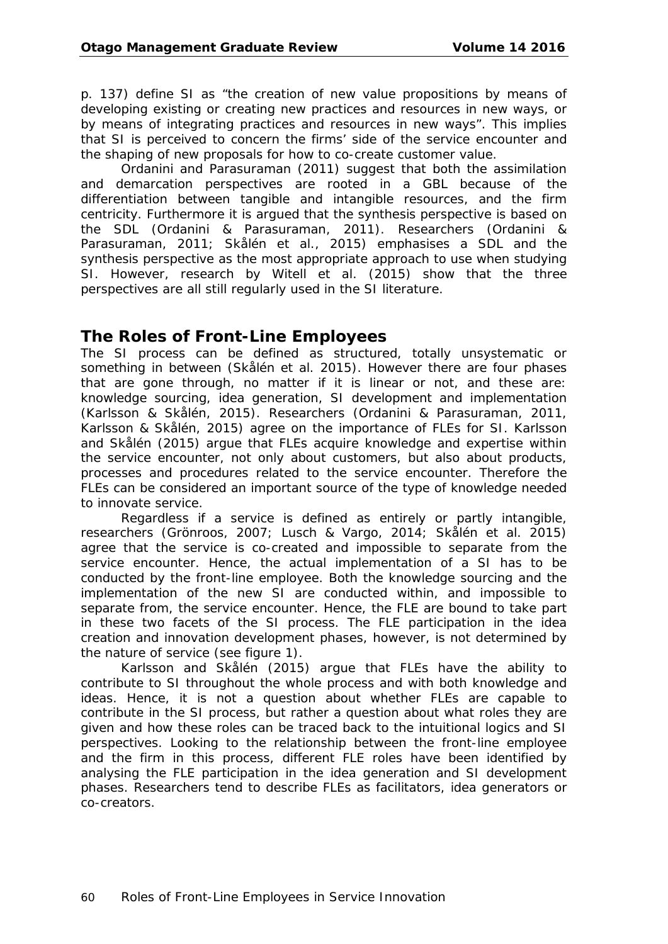p. 137) define SI as "the creation of new value propositions by means of developing existing or creating new practices and resources in new ways, or by means of integrating practices and resources in new ways". This implies that SI is perceived to concern the firms' side of the service encounter and the shaping of new proposals for how to co-create customer value.

Ordanini and Parasuraman (2011) suggest that both the assimilation and demarcation perspectives are rooted in a GBL because of the differentiation between tangible and intangible resources, and the firm centricity. Furthermore it is argued that the synthesis perspective is based on the SDL (Ordanini & Parasuraman, 2011). Researchers (Ordanini & Parasuraman, 2011; Skålén et al., 2015) emphasises a SDL and the synthesis perspective as the most appropriate approach to use when studying SI. However, research by Witell et al. (2015) show that the three perspectives are all still regularly used in the SI literature.

#### **The Roles of Front-Line Employees**

The SI process can be defined as structured, totally unsystematic or something in between (Skålén et al. 2015). However there are four phases that are gone through, no matter if it is linear or not, and these are: knowledge sourcing, idea generation, SI development and implementation (Karlsson & Skålén, 2015). Researchers (Ordanini & Parasuraman, 2011, Karlsson & Skålén, 2015) agree on the importance of FLEs for SI. Karlsson and Skålén (2015) argue that FLEs acquire knowledge and expertise within the service encounter, not only about customers, but also about products, processes and procedures related to the service encounter. Therefore the FLEs can be considered an important source of the type of knowledge needed to innovate service.

Regardless if a service is defined as entirely or partly intangible, researchers (Grönroos, 2007; Lusch & Vargo, 2014; Skålén et al. 2015) agree that the service is co-created and impossible to separate from the service encounter. Hence, the actual implementation of a SI has to be conducted by the front-line employee. Both the knowledge sourcing and the implementation of the new SI are conducted within, and impossible to separate from, the service encounter. Hence, the FLE are bound to take part in these two facets of the SI process. The FLE participation in the idea creation and innovation development phases, however, is not determined by the nature of service (see figure 1).

Karlsson and Skålén (2015) argue that FLEs have the ability to contribute to SI throughout the whole process and with both knowledge and ideas. Hence, it is not a question about whether FLEs are capable to contribute in the SI process, but rather a question about what roles they are given and how these roles can be traced back to the intuitional logics and SI perspectives. Looking to the relationship between the front-line employee and the firm in this process, different FLE roles have been identified by analysing the FLE participation in the idea generation and SI development phases. Researchers tend to describe FLEs as facilitators, idea generators or co-creators.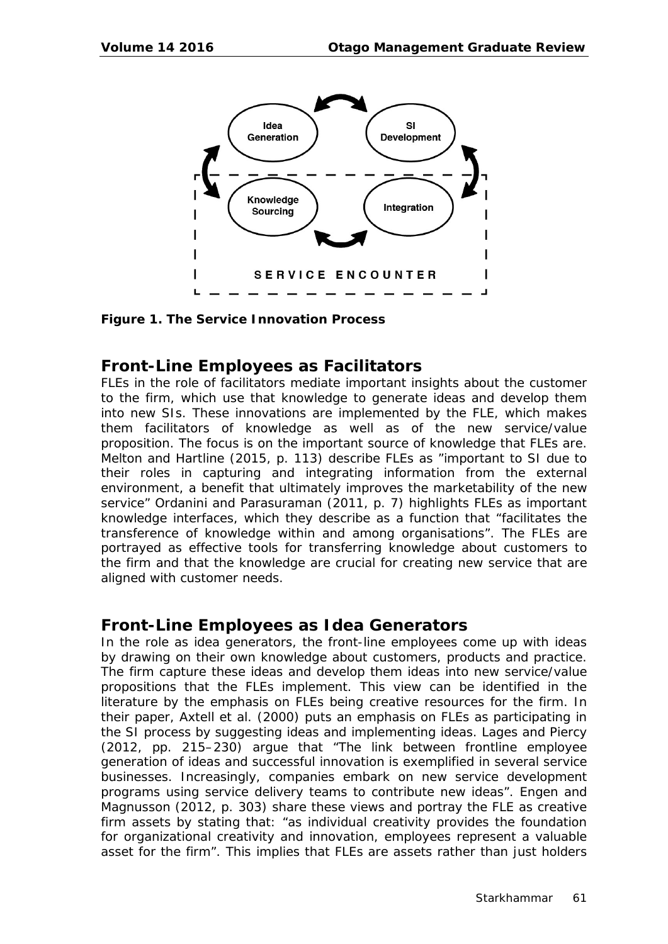

**Figure 1. The Service Innovation Process**

### **Front-Line Employees as Facilitators**

FLEs in the role of facilitators mediate important insights about the customer to the firm, which use that knowledge to generate ideas and develop them into new SIs. These innovations are implemented by the FLE, which makes them facilitators of knowledge as well as of the new service/value proposition. The focus is on the important source of knowledge that FLEs are. Melton and Hartline (2015, p. 113) describe FLEs as "important to SI due to their roles in capturing and integrating information from the external environment, a benefit that ultimately improves the marketability of the new service" Ordanini and Parasuraman (2011, p. 7) highlights FLEs as important knowledge interfaces, which they describe as a function that "facilitates the transference of knowledge within and among organisations". The FLEs are portrayed as effective tools for transferring knowledge about customers to the firm and that the knowledge are crucial for creating new service that are aligned with customer needs.

#### **Front-Line Employees as Idea Generators**

In the role as idea generators, the front-line employees come up with ideas by drawing on their own knowledge about customers, products and practice. The firm capture these ideas and develop them ideas into new service/value propositions that the FLEs implement. This view can be identified in the literature by the emphasis on FLEs being creative resources for the firm. In their paper, Axtell et al. (2000) puts an emphasis on FLEs as participating in the SI process by suggesting ideas and implementing ideas. Lages and Piercy (2012, pp. 215–230) argue that "The link between frontline employee generation of ideas and successful innovation is exemplified in several service businesses. Increasingly, companies embark on new service development programs using service delivery teams to contribute new ideas". Engen and Magnusson (2012, p. 303) share these views and portray the FLE as creative firm assets by stating that: "as individual creativity provides the foundation for organizational creativity and innovation, employees represent a valuable asset for the firm". This implies that FLEs are assets rather than just holders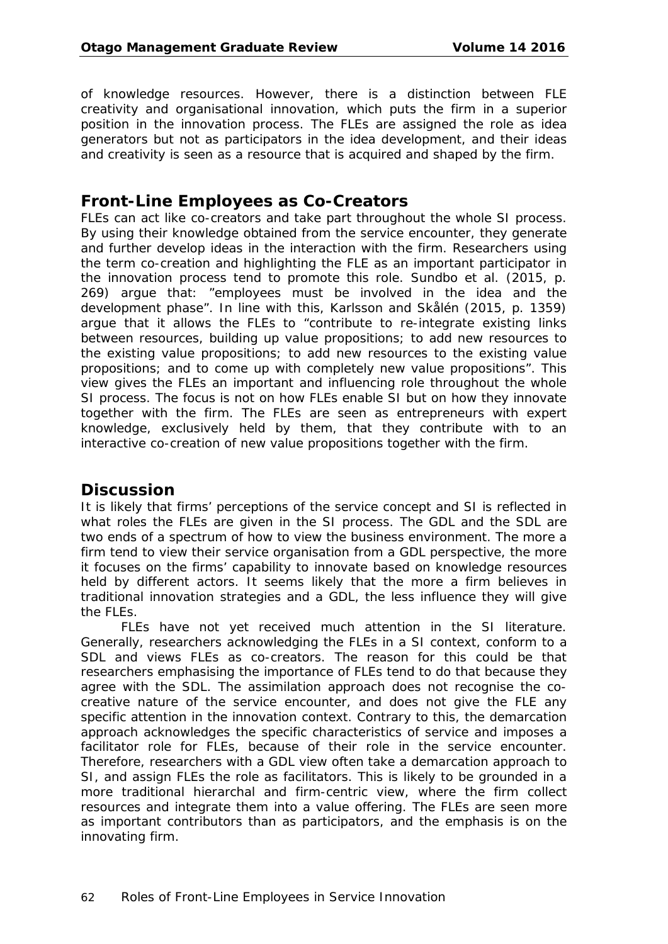of knowledge resources. However, there is a distinction between FLE creativity and organisational innovation, which puts the firm in a superior position in the innovation process. The FLEs are assigned the role as idea generators but not as participators in the idea development, and their ideas and creativity is seen as a resource that is acquired and shaped by the firm.

#### **Front-Line Employees as Co-Creators**

FLEs can act like co-creators and take part throughout the whole SI process. By using their knowledge obtained from the service encounter, they generate and further develop ideas in the interaction with the firm. Researchers using the term co-creation and highlighting the FLE as an important participator in the innovation process tend to promote this role. Sundbo et al. (2015, p. 269) argue that: "employees must be involved in the idea and the development phase". In line with this, Karlsson and Skålén (2015, p. 1359) argue that it allows the FLEs to "contribute to re-integrate existing links between resources, building up value propositions; to add new resources to the existing value propositions; to add new resources to the existing value propositions; and to come up with completely new value propositions". This view gives the FLEs an important and influencing role throughout the whole SI process. The focus is not on how FLEs enable SI but on how they innovate together with the firm. The FLEs are seen as entrepreneurs with expert knowledge, exclusively held by them, that they contribute with to an interactive co-creation of new value propositions together with the firm.

#### **Discussion**

It is likely that firms' perceptions of the service concept and SI is reflected in what roles the FLEs are given in the SI process. The GDL and the SDL are two ends of a spectrum of how to view the business environment. The more a firm tend to view their service organisation from a GDL perspective, the more it focuses on the firms' capability to innovate based on knowledge resources held by different actors. It seems likely that the more a firm believes in traditional innovation strategies and a GDL, the less influence they will give the FLEs.

FLEs have not yet received much attention in the SI literature. Generally, researchers acknowledging the FLEs in a SI context, conform to a SDL and views FLEs as co-creators. The reason for this could be that researchers emphasising the importance of FLEs tend to do that because they agree with the SDL. The assimilation approach does not recognise the cocreative nature of the service encounter, and does not give the FLE any specific attention in the innovation context. Contrary to this, the demarcation approach acknowledges the specific characteristics of service and imposes a facilitator role for FLEs, because of their role in the service encounter. Therefore, researchers with a GDL view often take a demarcation approach to SI, and assign FLEs the role as facilitators. This is likely to be grounded in a more traditional hierarchal and firm-centric view, where the firm collect resources and integrate them into a value offering. The FLEs are seen more as important contributors than as participators, and the emphasis is on the innovating firm.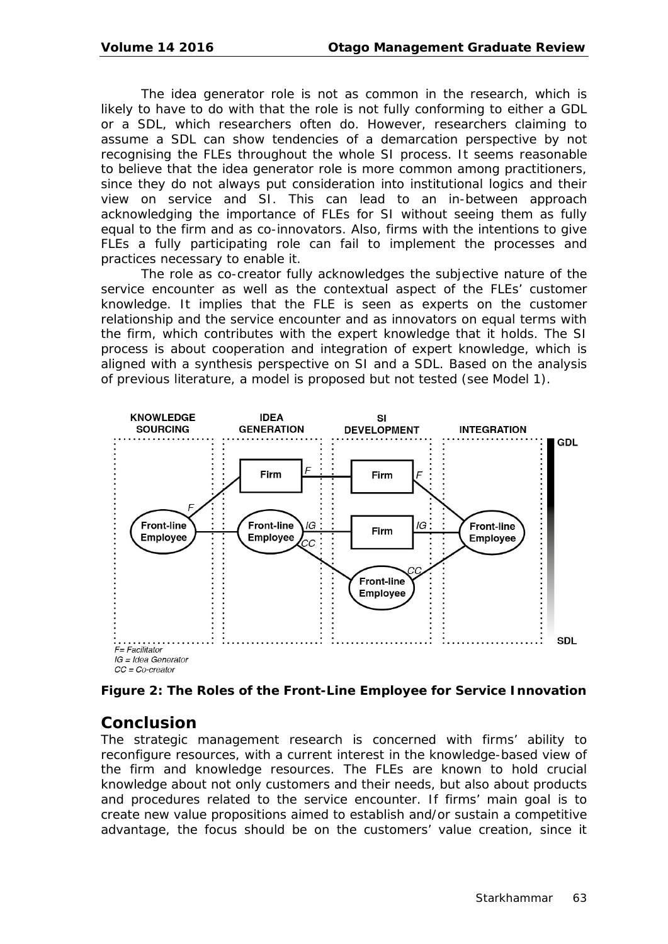The idea generator role is not as common in the research, which is likely to have to do with that the role is not fully conforming to either a GDL or a SDL, which researchers often do. However, researchers claiming to assume a SDL can show tendencies of a demarcation perspective by not recognising the FLEs throughout the whole SI process. It seems reasonable to believe that the idea generator role is more common among practitioners, since they do not always put consideration into institutional logics and their view on service and SI. This can lead to an in-between approach acknowledging the importance of FLEs for SI without seeing them as fully equal to the firm and as co-innovators. Also, firms with the intentions to give FLEs a fully participating role can fail to implement the processes and practices necessary to enable it.

The role as co-creator fully acknowledges the subjective nature of the service encounter as well as the contextual aspect of the FLEs' customer knowledge. It implies that the FLE is seen as experts on the customer relationship and the service encounter and as innovators on equal terms with the firm, which contributes with the expert knowledge that it holds. The SI process is about cooperation and integration of expert knowledge, which is aligned with a synthesis perspective on SI and a SDL. Based on the analysis of previous literature, a model is proposed but not tested (see Model 1).



**Figure 2: The Roles of the Front-Line Employee for Service Innovation**

#### **Conclusion**

The strategic management research is concerned with firms' ability to reconfigure resources, with a current interest in the knowledge-based view of the firm and knowledge resources. The FLEs are known to hold crucial knowledge about not only customers and their needs, but also about products and procedures related to the service encounter. If firms' main goal is to create new value propositions aimed to establish and/or sustain a competitive advantage, the focus should be on the customers' value creation, since it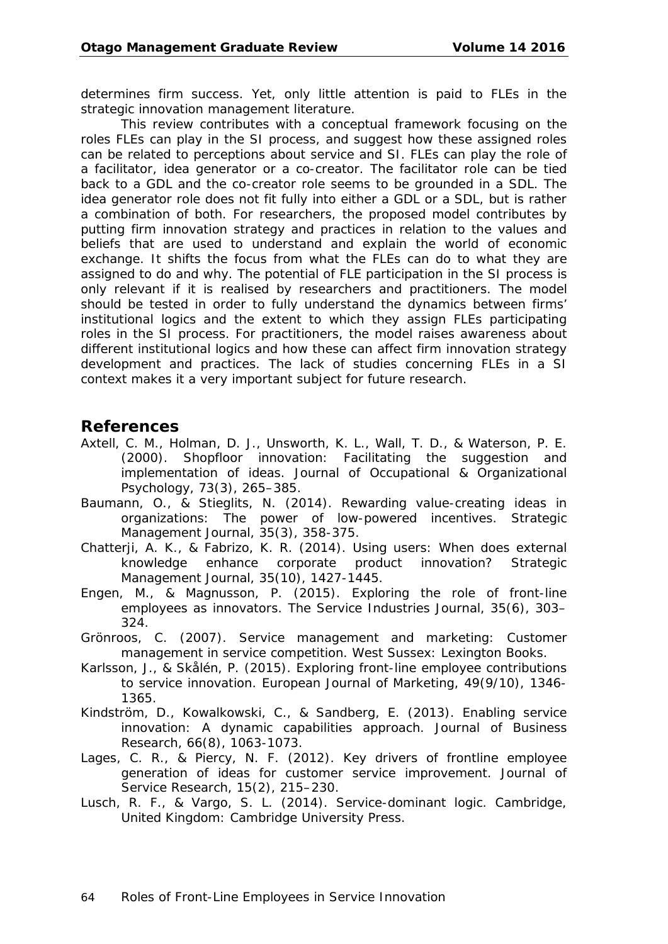determines firm success. Yet, only little attention is paid to FLEs in the strategic innovation management literature.

This review contributes with a conceptual framework focusing on the roles FLEs can play in the SI process, and suggest how these assigned roles can be related to perceptions about service and SI. FLEs can play the role of a facilitator, idea generator or a co-creator. The facilitator role can be tied back to a GDL and the co-creator role seems to be grounded in a SDL. The idea generator role does not fit fully into either a GDL or a SDL, but is rather a combination of both. For researchers, the proposed model contributes by putting firm innovation strategy and practices in relation to the values and beliefs that are used to understand and explain the world of economic exchange. It shifts the focus from what the FLEs can do to what they are assigned to do and why. The potential of FLE participation in the SI process is only relevant if it is realised by researchers and practitioners. The model should be tested in order to fully understand the dynamics between firms' institutional logics and the extent to which they assign FLEs participating roles in the SI process. For practitioners, the model raises awareness about different institutional logics and how these can affect firm innovation strategy development and practices. The lack of studies concerning FLEs in a SI context makes it a very important subject for future research.

#### **References**

- Axtell, C. M., Holman, D. J., Unsworth, K. L., Wall, T. D., & Waterson, P. E. (2000). Shopfloor innovation: Facilitating the suggestion and implementation of ideas. *Journal of Occupational & Organizational Psychology, 73*(3), 265–385.
- Baumann, O., & Stieglits, N. (2014). Rewarding value-creating ideas in organizations: The power of low-powered incentives. *Strategic Management Journal, 35*(3), 358-375.
- Chatterji, A. K., & Fabrizo, K. R. (2014). Using users: When does external knowledge enhance corporate product innovation? *Strategic Management Journal, 35*(10), 1427-1445.
- Engen, M., & Magnusson, P. (2015). Exploring the role of front-line employees as innovators. *The Service Industries Journal, 35*(6), 303– 324.
- Grönroos, C. (2007). *Service management and marketing: Customer management in service competition.* West Sussex: Lexington Books.
- Karlsson, J., & Skålén, P. (2015). Exploring front-line employee contributions to service innovation. *European Journal of Marketing, 49*(9/10), 1346- 1365.
- Kindström, D., Kowalkowski, C., & Sandberg, E. (2013). Enabling service innovation: A dynamic capabilities approach. *Journal of Business Research, 66*(8), 1063-1073.
- Lages, C. R., & Piercy, N. F. (2012). Key drivers of frontline employee generation of ideas for customer service improvement. *Journal of Service Research, 15*(2), 215–230.
- Lusch, R. F., & Vargo, S. L. (2014). *Service-dominant logic*. Cambridge, United Kingdom: Cambridge University Press.